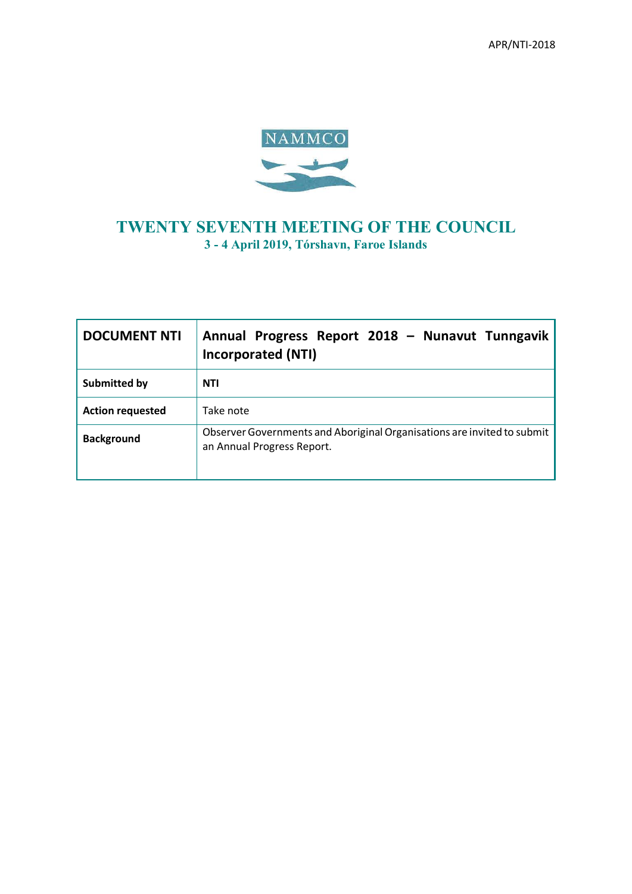

## **TWENTY SEVENTH MEETING OF THE COUNCIL 3 - 4 April 2019, Tórshavn, Faroe Islands**

| <b>DOCUMENT NTI</b>     | Annual Progress Report 2018 - Nunavut Tunngavik<br><b>Incorporated (NTI)</b>                          |
|-------------------------|-------------------------------------------------------------------------------------------------------|
| Submitted by            | <b>NTI</b>                                                                                            |
| <b>Action requested</b> | Take note                                                                                             |
| <b>Background</b>       | Observer Governments and Aboriginal Organisations are invited to submit<br>an Annual Progress Report. |